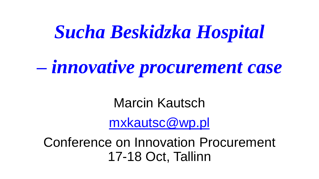# *Sucha Beskidzka Hospital*

## *– innovative procurement case*

Marcin Kautsch

[mxkautsc@wp.pl](mailto:mxkautsc@wp.pl)

Conference on Innovation Procurement 17-18 Oct, Tallinn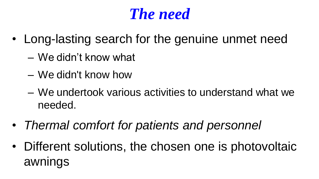#### *The need*

- Long-lasting search for the genuine unmet need
	- We didn't know what
	- We didn't know how
	- We undertook various activities to understand what we needed.
- *Thermal comfort for patients and personnel*
- Different solutions, the chosen one is photovoltaic awnings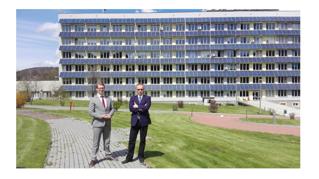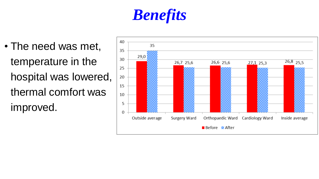*Benefits*

• The need was met, temperature in the hospital was lowered, thermal comfort was improved.

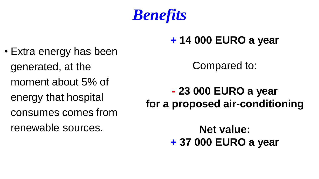### *Benefits*

• Extra energy has been generated, at the moment about 5% of energy that hospital consumes comes from renewable sources.

#### **+ 14 000 EURO a year**

Compared to:

**- 23 000 EURO a year for a proposed air-conditioning**

> **Net value: + 37 000 EURO a year**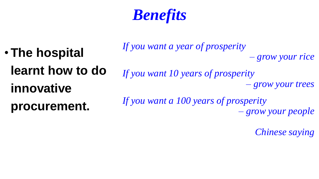### *Benefits*

•**The hospital learnt how to do innovative procurement.**

*If you want a year of prosperity – grow your rice If you want 10 years of prosperity – grow your trees If you want a 100 years of prosperity – grow your people*

*Chinese saying*